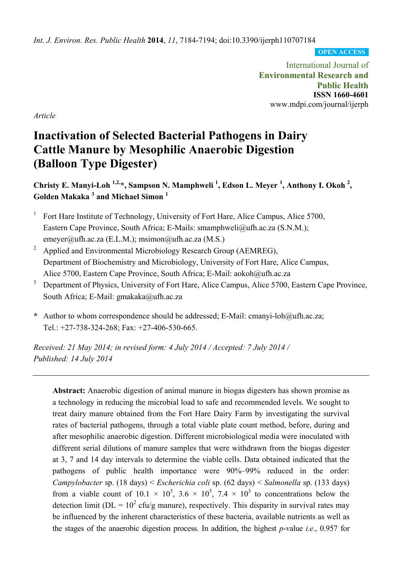*Int. J. Environ. Res. Public Health* **2014**, *11*, 7184-7194; doi:10.3390/ijerph110707184

**OPEN ACCESS**

International Journal of **Environmental Research and Public Health ISSN 1660-4601**  www.mdpi.com/journal/ijerph

*Article* 

# **Inactivation of Selected Bacterial Pathogens in Dairy Cattle Manure by Mesophilic Anaerobic Digestion (Balloon Type Digester)**

Christy E. Manyi-Loh<sup>1,2,\*</sup>, Sampson N. Mamphweli<sup>1</sup>, Edson L. Meyer<sup>1</sup>, Anthony I. Okoh<sup>2</sup>, **Golden Makaka 3 and Michael Simon 1**

- 1 Fort Hare Institute of Technology, University of Fort Hare, Alice Campus, Alice 5700, Eastern Cape Province, South Africa; E-Mails: smamphweli@ufh.ac.za (S.N.M.); emeyer@ufh.ac.za (E.L.M.); msimon@ufh.ac.za (M.S.)
- 2 Applied and Environmental Microbiology Research Group (AEMREG), Department of Biochemistry and Microbiology, University of Fort Hare, Alice Campus, Alice 5700, Eastern Cape Province, South Africa; E-Mail: aokoh@ufh.ac.za
- 3 Department of Physics, University of Fort Hare, Alice Campus, Alice 5700, Eastern Cape Province, South Africa; E-Mail: gmakaka@ufh.ac.za
- **\*** Author to whom correspondence should be addressed; E-Mail: cmanyi-loh@ufh.ac.za; Tel.: +27-738-324-268; Fax: +27-406-530-665.

*Received: 21 May 2014; in revised form: 4 July 2014 / Accepted: 7 July 2014 / Published: 14 July 2014* 

**Abstract:** Anaerobic digestion of animal manure in biogas digesters has shown promise as a technology in reducing the microbial load to safe and recommended levels. We sought to treat dairy manure obtained from the Fort Hare Dairy Farm by investigating the survival rates of bacterial pathogens, through a total viable plate count method, before, during and after mesophilic anaerobic digestion. Different microbiological media were inoculated with different serial dilutions of manure samples that were withdrawn from the biogas digester at 3, 7 and 14 day intervals to determine the viable cells. Data obtained indicated that the pathogens of public health importance were 90%–99% reduced in the order: *Campylobacter* sp. (18 days) < *Escherichia coli* sp. (62 days) < *Salmonella* sp. (133 days) from a viable count of  $10.1 \times 10^3$ ,  $3.6 \times 10^5$ ,  $7.4 \times 10^3$  to concentrations below the detection limit ( $DL = 10<sup>2</sup>$  cfu/g manure), respectively. This disparity in survival rates may be influenced by the inherent characteristics of these bacteria, available nutrients as well as the stages of the anaerobic digestion process. In addition, the highest *p*-value *i.e.*, 0.957 for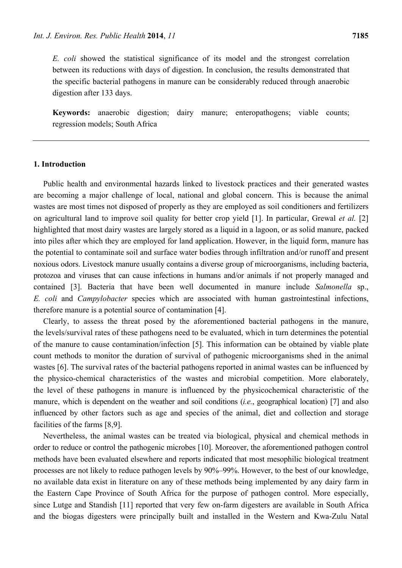*E. coli* showed the statistical significance of its model and the strongest correlation between its reductions with days of digestion. In conclusion, the results demonstrated that the specific bacterial pathogens in manure can be considerably reduced through anaerobic digestion after 133 days.

**Keywords:** anaerobic digestion; dairy manure; enteropathogens; viable counts; regression models; South Africa

#### **1. Introduction**

Public health and environmental hazards linked to livestock practices and their generated wastes are becoming a major challenge of local, national and global concern. This is because the animal wastes are most times not disposed of properly as they are employed as soil conditioners and fertilizers on agricultural land to improve soil quality for better crop yield [1]. In particular, Grewal *et al.* [2] highlighted that most dairy wastes are largely stored as a liquid in a lagoon, or as solid manure, packed into piles after which they are employed for land application. However, in the liquid form, manure has the potential to contaminate soil and surface water bodies through infiltration and/or runoff and present noxious odors. Livestock manure usually contains a diverse group of microorganisms, including bacteria, protozoa and viruses that can cause infections in humans and/or animals if not properly managed and contained [3]. Bacteria that have been well documented in manure include *Salmonella* sp., *E. coli* and *Campylobacter* species which are associated with human gastrointestinal infections, therefore manure is a potential source of contamination [4].

Clearly, to assess the threat posed by the aforementioned bacterial pathogens in the manure, the levels/survival rates of these pathogens need to be evaluated, which in turn determines the potential of the manure to cause contamination/infection [5]. This information can be obtained by viable plate count methods to monitor the duration of survival of pathogenic microorganisms shed in the animal wastes [6]. The survival rates of the bacterial pathogens reported in animal wastes can be influenced by the physico-chemical characteristics of the wastes and microbial competition. More elaborately, the level of these pathogens in manure is influenced by the physicochemical characteristic of the manure, which is dependent on the weather and soil conditions (*i.e.*, geographical location) [7] and also influenced by other factors such as age and species of the animal, diet and collection and storage facilities of the farms [8,9].

Nevertheless, the animal wastes can be treated via biological, physical and chemical methods in order to reduce or control the pathogenic microbes [10]. Moreover, the aforementioned pathogen control methods have been evaluated elsewhere and reports indicated that most mesophilic biological treatment processes are not likely to reduce pathogen levels by 90%–99%. However, to the best of our knowledge, no available data exist in literature on any of these methods being implemented by any dairy farm in the Eastern Cape Province of South Africa for the purpose of pathogen control. More especially, since Lutge and Standish [11] reported that very few on-farm digesters are available in South Africa and the biogas digesters were principally built and installed in the Western and Kwa-Zulu Natal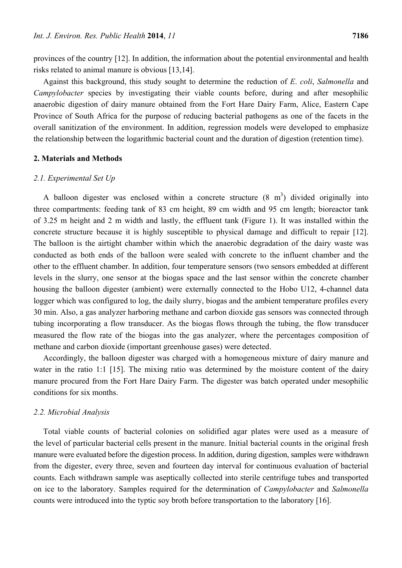provinces of the country [12]. In addition, the information about the potential environmental and health risks related to animal manure is obvious [13,14].

Against this background, this study sought to determine the reduction of *E*. *coli*, *Salmonella* and *Campylobacter* species by investigating their viable counts before, during and after mesophilic anaerobic digestion of dairy manure obtained from the Fort Hare Dairy Farm, Alice, Eastern Cape Province of South Africa for the purpose of reducing bacterial pathogens as one of the facets in the overall sanitization of the environment. In addition, regression models were developed to emphasize the relationship between the logarithmic bacterial count and the duration of digestion (retention time).

## **2. Materials and Methods**

## *2.1. Experimental Set Up*

A balloon digester was enclosed within a concrete structure  $(8 \text{ m}^3)$  divided originally into three compartments: feeding tank of 83 cm height, 89 cm width and 95 cm length; bioreactor tank of 3.25 m height and 2 m width and lastly, the effluent tank (Figure 1). It was installed within the concrete structure because it is highly susceptible to physical damage and difficult to repair [12]. The balloon is the airtight chamber within which the anaerobic degradation of the dairy waste was conducted as both ends of the balloon were sealed with concrete to the influent chamber and the other to the effluent chamber. In addition, four temperature sensors (two sensors embedded at different levels in the slurry, one sensor at the biogas space and the last sensor within the concrete chamber housing the balloon digester (ambient) were externally connected to the Hobo U12, 4-channel data logger which was configured to log, the daily slurry, biogas and the ambient temperature profiles every 30 min. Also, a gas analyzer harboring methane and carbon dioxide gas sensors was connected through tubing incorporating a flow transducer. As the biogas flows through the tubing, the flow transducer measured the flow rate of the biogas into the gas analyzer, where the percentages composition of methane and carbon dioxide (important greenhouse gases) were detected.

Accordingly, the balloon digester was charged with a homogeneous mixture of dairy manure and water in the ratio 1:1 [15]. The mixing ratio was determined by the moisture content of the dairy manure procured from the Fort Hare Dairy Farm. The digester was batch operated under mesophilic conditions for six months.

#### *2.2. Microbial Analysis*

Total viable counts of bacterial colonies on solidified agar plates were used as a measure of the level of particular bacterial cells present in the manure. Initial bacterial counts in the original fresh manure were evaluated before the digestion process. In addition, during digestion, samples were withdrawn from the digester, every three, seven and fourteen day interval for continuous evaluation of bacterial counts. Each withdrawn sample was aseptically collected into sterile centrifuge tubes and transported on ice to the laboratory. Samples required for the determination of *Campylobacter* and *Salmonella*  counts were introduced into the typtic soy broth before transportation to the laboratory [16].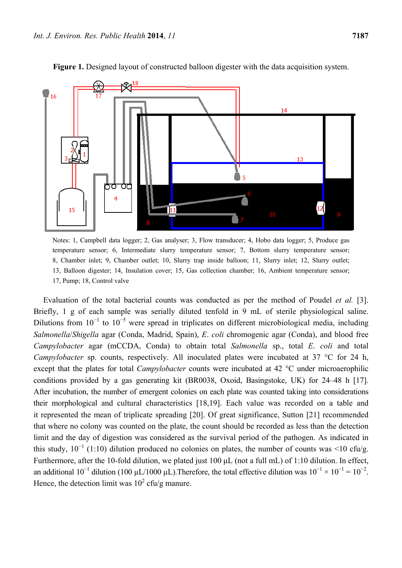

**Figure 1.** Designed layout of constructed balloon digester with the data acquisition system.

Notes: 1, Campbell data logger; 2, Gas analyser; 3, Flow transducer; 4, Hobo data logger; 5, Produce gas temperature sensor; 6, Intermediate slurry temperature sensor; 7, Bottom slurry temperature sensor; 8, Chamber inlet; 9, Chamber outlet; 10, Slurry trap inside balloon; 11, Slurry inlet; 12, Slurry outlet; 13, Balloon digester; 14, Insulation cover; 15, Gas collection chamber; 16, Ambient temperature sensor; 17, Pump; 18, Control valve

Evaluation of the total bacterial counts was conducted as per the method of Poudel *et al.* [3]. Briefly, 1 g of each sample was serially diluted tenfold in 9 mL of sterile physiological saline. Dilutions from  $10^{-1}$  to  $10^{-5}$  were spread in triplicates on different microbiological media, including *Salmonella*/*Shigella* agar (Conda, Madrid, Spain), *E*. *coli* chromogenic agar (Conda), and blood free *Campylobacter* agar (mCCDA, Conda) to obtain total *Salmonella* sp., total *E*. *coli* and total *Campylobacter* sp. counts, respectively. All inoculated plates were incubated at 37 °C for 24 h, except that the plates for total *Campylobacter* counts were incubated at 42 °C under microaerophilic conditions provided by a gas generating kit (BR0038, Oxoid, Basingstoke, UK) for 24–48 h [17]. After incubation, the number of emergent colonies on each plate was counted taking into considerations their morphological and cultural characteristics [18,19]. Each value was recorded on a table and it represented the mean of triplicate spreading [20]. Of great significance, Sutton [21] recommended that where no colony was counted on the plate, the count should be recorded as less than the detection limit and the day of digestion was considered as the survival period of the pathogen. As indicated in this study,  $10^{-1}$  (1:10) dilution produced no colonies on plates, the number of counts was <10 cfu/g. Furthermore, after the 10-fold dilution, we plated just 100 μL (not a full mL) of 1:10 dilution. In effect, an additional  $10^{-1}$  dilution (100 µL/1000 µL). Therefore, the total effective dilution was  $10^{-1} \times 10^{-1} = 10^{-2}$ . Hence, the detection limit was  $10^2$  cfu/g manure.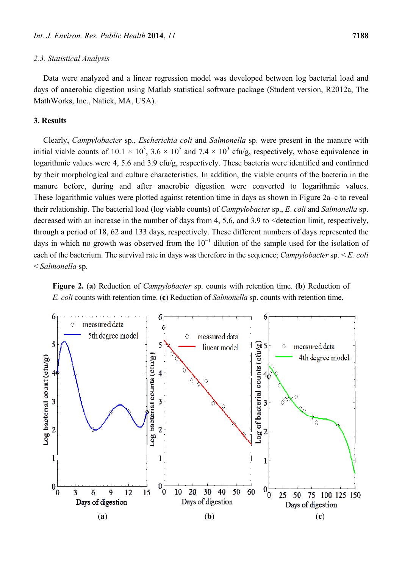#### *2.3. Statistical Analysis*

Data were analyzed and a linear regression model was developed between log bacterial load and days of anaerobic digestion using Matlab statistical software package (Student version, R2012a, The MathWorks, Inc., Natick, MA, USA).

#### **3. Results**

Clearly, *Campylobacter* sp., *Escherichia coli* and *Salmonella* sp. were present in the manure with initial viable counts of  $10.1 \times 10^3$ ,  $3.6 \times 10^5$  and  $7.4 \times 10^3$  cfu/g, respectively, whose equivalence in logarithmic values were 4, 5.6 and 3.9 cfu/g, respectively. These bacteria were identified and confirmed by their morphological and culture characteristics. In addition, the viable counts of the bacteria in the manure before, during and after anaerobic digestion were converted to logarithmic values. These logarithmic values were plotted against retention time in days as shown in Figure 2a–c to reveal their relationship. The bacterial load (log viable counts) of *Campylobacter* sp., *E*. *coli* and *Salmonella* sp. decreased with an increase in the number of days from 4, 5.6, and 3.9 to <detection limit, respectively, through a period of 18, 62 and 133 days, respectively. These different numbers of days represented the days in which no growth was observed from the  $10^{-1}$  dilution of the sample used for the isolation of each of the bacterium. The survival rate in days was therefore in the sequence; *Campylobacter* sp. < *E. coli* < *Salmonella* sp.



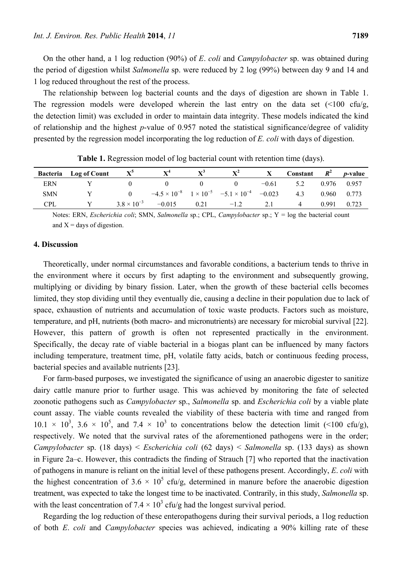On the other hand, a 1 log reduction (90%) of *E*. *coli* and *Campylobacter* sp. was obtained during the period of digestion whilst *Salmonella* sp. were reduced by 2 log (99%) between day 9 and 14 and 1 log reduced throughout the rest of the process.

The relationship between log bacterial counts and the days of digestion are shown in Table 1. The regression models were developed wherein the last entry on the data set  $\left( \langle 100 \text{ cfu/g},\rangle \right)$ the detection limit) was excluded in order to maintain data integrity. These models indicated the kind of relationship and the highest *p*-value of 0.957 noted the statistical significance/degree of validity presented by the regression model incorporating the log reduction of *E. coli* with days of digestion.

|            | <b>Bacteria</b> Log of Count | $X^3$                | ${\bf X}^4$ | $X^3$ | $\mathbf{X}^{\mathbf{2}}$                                               |         | Constant $R^2$ <i>p</i> -value |       |             |
|------------|------------------------------|----------------------|-------------|-------|-------------------------------------------------------------------------|---------|--------------------------------|-------|-------------|
| ERN        |                              |                      |             |       |                                                                         | $-0.61$ | 5.2                            |       | 0.976 0.957 |
| <b>SMN</b> |                              |                      |             |       | $-4.5 \times 10^{-8}$ $1 \times 10^{-5}$ $-5.1 \times 10^{-4}$ $-0.023$ |         | 4.3                            | 0.960 | 0.773       |
| <b>CPL</b> |                              | $3.8 \times 10^{-3}$ | $-0.015$    | 0.21  | $-1.2$                                                                  | 2.1     |                                | 0.991 | 0.723       |

**Table 1.** Regression model of log bacterial count with retention time (days).

Notes: ERN, *Escherichia coli*; SMN, *Salmonella* sp.; CPL, *Campylobacter* sp.; Y = log the bacterial count and  $X =$  days of digestion.

#### **4. Discussion**

Theoretically, under normal circumstances and favorable conditions, a bacterium tends to thrive in the environment where it occurs by first adapting to the environment and subsequently growing, multiplying or dividing by binary fission. Later, when the growth of these bacterial cells becomes limited, they stop dividing until they eventually die, causing a decline in their population due to lack of space, exhaustion of nutrients and accumulation of toxic waste products. Factors such as moisture, temperature, and pH, nutrients (both macro- and micronutrients) are necessary for microbial survival [22]. However, this pattern of growth is often not represented practically in the environment. Specifically, the decay rate of viable bacterial in a biogas plant can be influenced by many factors including temperature, treatment time, pH, volatile fatty acids, batch or continuous feeding process, bacterial species and available nutrients [23].

For farm-based purposes, we investigated the significance of using an anaerobic digester to sanitize dairy cattle manure prior to further usage. This was achieved by monitoring the fate of selected zoonotic pathogens such as *Campylobacter* sp., *Salmonella* sp. and *Escherichia coli* by a viable plate count assay. The viable counts revealed the viability of these bacteria with time and ranged from  $10.1 \times 10^3$ ,  $3.6 \times 10^5$ , and  $7.4 \times 10^3$  to concentrations below the detection limit (<100 cfu/g), respectively. We noted that the survival rates of the aforementioned pathogens were in the order; *Campylobacter* sp. (18 days) < *Escherichia coli* (62 days) < *Salmonella* sp. (133 days) as shown in Figure 2a–c. However, this contradicts the finding of Strauch [7] who reported that the inactivation of pathogens in manure is reliant on the initial level of these pathogens present. Accordingly, *E*. *coli* with the highest concentration of 3.6  $\times$  10<sup>5</sup> cfu/g, determined in manure before the anaerobic digestion treatment, was expected to take the longest time to be inactivated. Contrarily, in this study, *Salmonella* sp. with the least concentration of 7.4  $\times$  10<sup>3</sup> cfu/g had the longest survival period.

Regarding the log reduction of these enteropathogens during their survival periods, a 1log reduction of both *E*. *coli* and *Campylobacter* species was achieved, indicating a 90% killing rate of these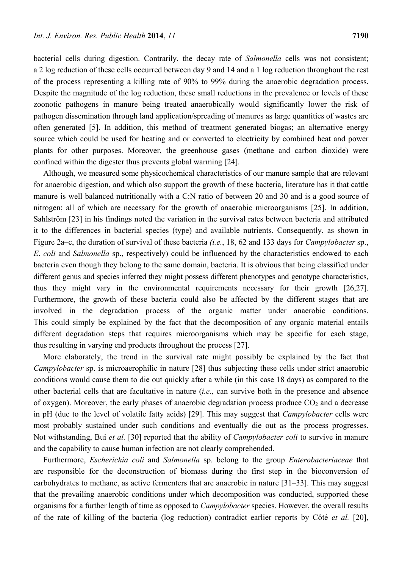bacterial cells during digestion. Contrarily, the decay rate of *Salmonella* cells was not consistent; a 2 log reduction of these cells occurred between day 9 and 14 and a 1 log reduction throughout the rest of the process representing a killing rate of 90% to 99% during the anaerobic degradation process. Despite the magnitude of the log reduction, these small reductions in the prevalence or levels of these zoonotic pathogens in manure being treated anaerobically would significantly lower the risk of pathogen dissemination through land application/spreading of manures as large quantities of wastes are often generated [5]. In addition, this method of treatment generated biogas; an alternative energy source which could be used for heating and or converted to electricity by combined heat and power plants for other purposes. Moreover, the greenhouse gases (methane and carbon dioxide) were confined within the digester thus prevents global warming [24].

Although, we measured some physicochemical characteristics of our manure sample that are relevant for anaerobic digestion, and which also support the growth of these bacteria, literature has it that cattle manure is well balanced nutritionally with a C:N ratio of between 20 and 30 and is a good source of nitrogen; all of which are necessary for the growth of anaerobic microorganisms [25]. In addition, Sahlström [23] in his findings noted the variation in the survival rates between bacteria and attributed it to the differences in bacterial species (type) and available nutrients. Consequently, as shown in Figure 2a–c, the duration of survival of these bacteria *(i.e.*, 18, 62 and 133 days for *Campylobacter* sp., *E*. *coli* and *Salmonella* sp., respectively) could be influenced by the characteristics endowed to each bacteria even though they belong to the same domain, bacteria. It is obvious that being classified under different genus and species inferred they might possess different phenotypes and genotype characteristics, thus they might vary in the environmental requirements necessary for their growth [26,27]. Furthermore, the growth of these bacteria could also be affected by the different stages that are involved in the degradation process of the organic matter under anaerobic conditions. This could simply be explained by the fact that the decomposition of any organic material entails different degradation steps that requires microorganisms which may be specific for each stage, thus resulting in varying end products throughout the process [27].

More elaborately, the trend in the survival rate might possibly be explained by the fact that *Campylobacter* sp. is microaerophilic in nature [28] thus subjecting these cells under strict anaerobic conditions would cause them to die out quickly after a while (in this case 18 days) as compared to the other bacterial cells that are facultative in nature (*i.e.*, can survive both in the presence and absence of oxygen). Moreover, the early phases of anaerobic degradation process produce  $CO<sub>2</sub>$  and a decrease in pH (due to the level of volatile fatty acids) [29]. This may suggest that *Campylobacter* cells were most probably sustained under such conditions and eventually die out as the process progresses. Not withstanding, Bui *et al.* [30] reported that the ability of *Campylobacter coli* to survive in manure and the capability to cause human infection are not clearly comprehended.

Furthermore, *Escherichia coli* and *Salmonella* sp. belong to the group *Enterobacteriaceae* that are responsible for the deconstruction of biomass during the first step in the bioconversion of carbohydrates to methane, as active fermenters that are anaerobic in nature [31–33]. This may suggest that the prevailing anaerobic conditions under which decomposition was conducted, supported these organisms for a further length of time as opposed to *Campylobacter* species. However, the overall results of the rate of killing of the bacteria (log reduction) contradict earlier reports by Côté *et al.* [20],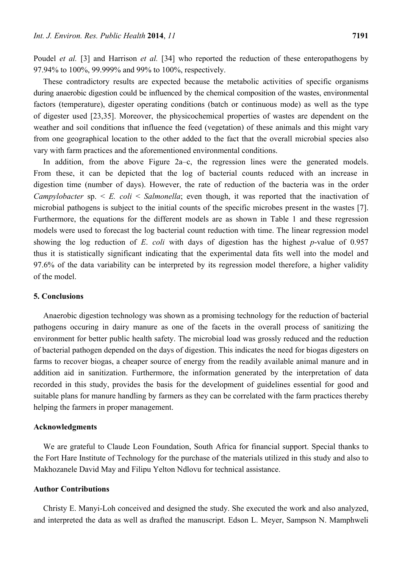Poudel *et al.* [3] and Harrison *et al.* [34] who reported the reduction of these enteropathogens by 97.94% to 100%, 99.999% and 99% to 100%, respectively.

These contradictory results are expected because the metabolic activities of specific organisms during anaerobic digestion could be influenced by the chemical composition of the wastes, environmental factors (temperature), digester operating conditions (batch or continuous mode) as well as the type of digester used [23,35]. Moreover, the physicochemical properties of wastes are dependent on the weather and soil conditions that influence the feed (vegetation) of these animals and this might vary from one geographical location to the other added to the fact that the overall microbial species also vary with farm practices and the aforementioned environmental conditions.

In addition, from the above Figure 2a–c, the regression lines were the generated models. From these, it can be depicted that the log of bacterial counts reduced with an increase in digestion time (number of days). However, the rate of reduction of the bacteria was in the order *Campylobacter* sp. < *E. coli* < *Salmonella*; even though, it was reported that the inactivation of microbial pathogens is subject to the initial counts of the specific microbes present in the wastes [7]. Furthermore, the equations for the different models are as shown in Table 1 and these regression models were used to forecast the log bacterial count reduction with time. The linear regression model showing the log reduction of *E*. *coli* with days of digestion has the highest *p*-value of 0.957 thus it is statistically significant indicating that the experimental data fits well into the model and 97.6% of the data variability can be interpreted by its regression model therefore, a higher validity of the model.

#### **5. Conclusions**

Anaerobic digestion technology was shown as a promising technology for the reduction of bacterial pathogens occuring in dairy manure as one of the facets in the overall process of sanitizing the environment for better public health safety. The microbial load was grossly reduced and the reduction of bacterial pathogen depended on the days of digestion. This indicates the need for biogas digesters on farms to recover biogas, a cheaper source of energy from the readily available animal manure and in addition aid in sanitization. Furthermore, the information generated by the interpretation of data recorded in this study, provides the basis for the development of guidelines essential for good and suitable plans for manure handling by farmers as they can be correlated with the farm practices thereby helping the farmers in proper management.

### **Acknowledgments**

We are grateful to Claude Leon Foundation, South Africa for financial support. Special thanks to the Fort Hare Institute of Technology for the purchase of the materials utilized in this study and also to Makhozanele David May and Filipu Yelton Ndlovu for technical assistance.

#### **Author Contributions**

Christy E. Manyi-Loh conceived and designed the study. She executed the work and also analyzed, and interpreted the data as well as drafted the manuscript. Edson L. Meyer, Sampson N. Mamphweli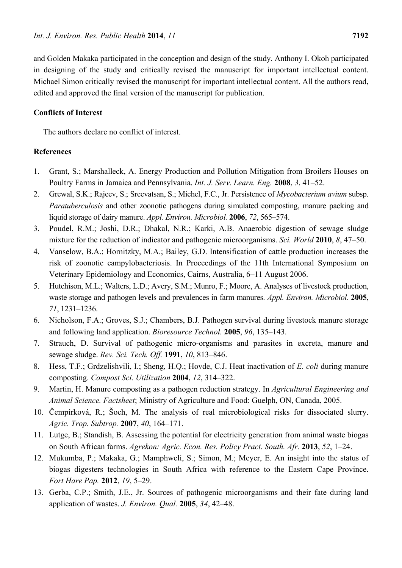and Golden Makaka participated in the conception and design of the study. Anthony I. Okoh participated in designing of the study and critically revised the manuscript for important intellectual content. Michael Simon critically revised the manuscript for important intellectual content. All the authors read, edited and approved the final version of the manuscript for publication.

# **Conflicts of Interest**

The authors declare no conflict of interest.

# **References**

- 1. Grant, S.; Marshalleck, A. Energy Production and Pollution Mitigation from Broilers Houses on Poultry Farms in Jamaica and Pennsylvania. *Int. J. Serv. Learn. Eng.* **2008**, *3*, 41–52.
- 2. Grewal, S.K.; Rajeev, S.; Sreevatsan, S.; Michel, F.C., Jr. Persistence of *Mycobacterium avium* subsp. *Paratuberculosis* and other zoonotic pathogens during simulated composting, manure packing and liquid storage of dairy manure. *Appl. Environ. Microbiol.* **2006**, *72*, 565–574.
- 3. Poudel, R.M.; Joshi, D.R.; Dhakal, N.R.; Karki, A.B. Anaerobic digestion of sewage sludge mixture for the reduction of indicator and pathogenic microorganisms. *Sci. World* **2010**, *8*, 47–50.
- 4. Vanselow, B.A.; Hornitzky, M.A.; Bailey, G.D. Intensification of cattle production increases the risk of zoonotic campylobacteriosis. In Proceedings of the 11th International Symposium on Veterinary Epidemiology and Economics, Cairns, Australia, 6–11 August 2006.
- 5. Hutchison, M.L.; Walters, L.D.; Avery, S.M.; Munro, F.; Moore, A. Analyses of livestock production, waste storage and pathogen levels and prevalences in farm manures. *Appl. Environ. Microbiol.* **2005**, *71*, 1231–1236.
- 6. Nicholson, F.A.; Groves, S.J.; Chambers, B.J. Pathogen survival during livestock manure storage and following land application. *Bioresource Technol.* **2005**, *96*, 135–143.
- 7. Strauch, D. Survival of pathogenic micro-organisms and parasites in excreta, manure and sewage sludge. *Rev. Sci. Tech. Off.* **1991**, *10*, 813–846.
- 8. Hess, T.F.; Grdzelishvili, I.; Sheng, H.Q.; Hovde, C.J. Heat inactivation of *E. coli* during manure composting. *Compost Sci. Utilization* **2004**, *12*, 314–322.
- 9. Martin, H. Manure composting as a pathogen reduction strategy. In *Agricultural Engineering and Animal Science. Factsheet*; Ministry of Agriculture and Food: Guelph, ON, Canada, 2005.
- 10. Čempírková, R.; Šoch, M. The analysis of real microbiological risks for dissociated slurry. *Agric. Trop. Subtrop.* **2007**, *40*, 164–171.
- 11. Lutge, B.; Standish, B. Assessing the potential for electricity generation from animal waste biogas on South African farms. *Agrekon: Agric. Econ. Res. Policy Pract. South. Afr.* **2013**, *52*, 1–24.
- 12. Mukumba, P.; Makaka, G.; Mamphweli, S.; Simon, M.; Meyer, E. An insight into the status of biogas digesters technologies in South Africa with reference to the Eastern Cape Province. *Fort Hare Pap.* **2012**, *19*, 5–29.
- 13. Gerba, C.P.; Smith, J.E., Jr. Sources of pathogenic microorganisms and their fate during land application of wastes. *J. Environ. Qual.* **2005**, *34*, 42–48.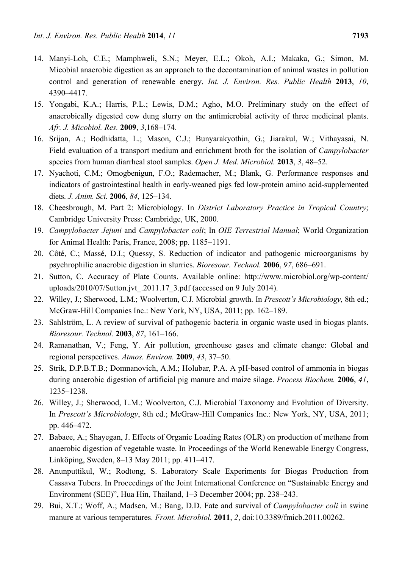- 14. Manyi-Loh, C.E.; Mamphweli, S.N.; Meyer, E.L.; Okoh, A.I.; Makaka, G.; Simon, M. Micobial anaerobic digestion as an approach to the decontamination of animal wastes in pollution control and generation of renewable energy. *Int. J. Environ. Res. Public Health* **2013**, *10*, 4390–4417.
- 15. Yongabi, K.A.; Harris, P.L.; Lewis, D.M.; Agho, M.O. Preliminary study on the effect of anaerobically digested cow dung slurry on the antimicrobial activity of three medicinal plants. *Afr. J. Micobiol. Res.* **2009**, *3*,168–174.
- 16. Srijan, A.; Bodhidatta, L.; Mason, C.J.; Bunyarakyothin, G.; Jiarakul, W.; Vithayasai, N. Field evaluation of a transport medium and enrichment broth for the isolation of *Campylobacter* species from human diarrheal stool samples. *Open J. Med. Microbiol.* **2013**, *3*, 48–52.
- 17. Nyachoti, C.M.; Omogbenigun, F.O.; Rademacher, M.; Blank, G. Performance responses and indicators of gastrointestinal health in early-weaned pigs fed low-protein amino acid-supplemented diets. *J. Anim. Sci.* **2006**, *84*, 125–134.
- 18. Cheesbrough, M. Part 2: Microbiology. In *District Laboratory Practice in Tropical Country*; Cambridge University Press: Cambridge, UK, 2000.
- 19. *Campylobacter Jejuni* and *Campylobacter coli*; In *OIE Terrestrial Manual*; World Organization for Animal Health: Paris, France, 2008; pp. 1185–1191.
- 20. Côté, C.; Massé, D.I.; Quessy, S. Reduction of indicator and pathogenic microorganisms by psychrophilic anaerobic digestion in slurries. *Bioresour. Technol.* **2006**, *97*, 686–691.
- 21. Sutton, C. Accuracy of Plate Counts. Available online: http://www.microbiol.org/wp-content/ uploads/2010/07/Sutton.jvt\_.2011.17\_3.pdf (accessed on 9 July 2014).
- 22. Willey, J.; Sherwood, L.M.; Woolverton, C.J. Microbial growth. In *Prescott's Microbiology*, 8th ed.; McGraw-Hill Companies Inc.: New York, NY, USA, 2011; pp. 162–189.
- 23. Sahlström, L. A review of survival of pathogenic bacteria in organic waste used in biogas plants. *Bioresour. Technol.* **2003**, *87*, 161–166.
- 24. Ramanathan, V.; Feng, Y. Air pollution, greenhouse gases and climate change: Global and regional perspectives. *Atmos. Environ.* **2009**, *43*, 37–50.
- 25. Strik, D.P.B.T.B.; Domnanovich, A.M.; Holubar, P.A. A pH-based control of ammonia in biogas during anaerobic digestion of artificial pig manure and maize silage. *Process Biochem.* **2006**, *41*, 1235–1238.
- 26. Willey, J.; Sherwood, L.M.; Woolverton, C.J. Microbial Taxonomy and Evolution of Diversity. In *Prescott's Microbiology*, 8th ed.; McGraw-Hill Companies Inc.: New York, NY, USA, 2011; pp. 446–472.
- 27. Babaee, A.; Shayegan, J. Effects of Organic Loading Rates (OLR) on production of methane from anaerobic digestion of vegetable waste. In Proceedings of the World Renewable Energy Congress, Linköping, Sweden, 8–13 May 2011; pp. 411–417.
- 28. Anunputtikul, W.; Rodtong, S. Laboratory Scale Experiments for Biogas Production from Cassava Tubers. In Proceedings of the Joint International Conference on "Sustainable Energy and Environment (SEE)", Hua Hin, Thailand, 1–3 December 2004; pp. 238–243.
- 29. Bui, X.T.; Woff, A.; Madsen, M.; Bang, D.D. Fate and survival of *Campylobacter coli* in swine manure at various temperatures. *Front. Microbiol.* **2011**, *2*, doi:10.3389/fmicb.2011.00262.